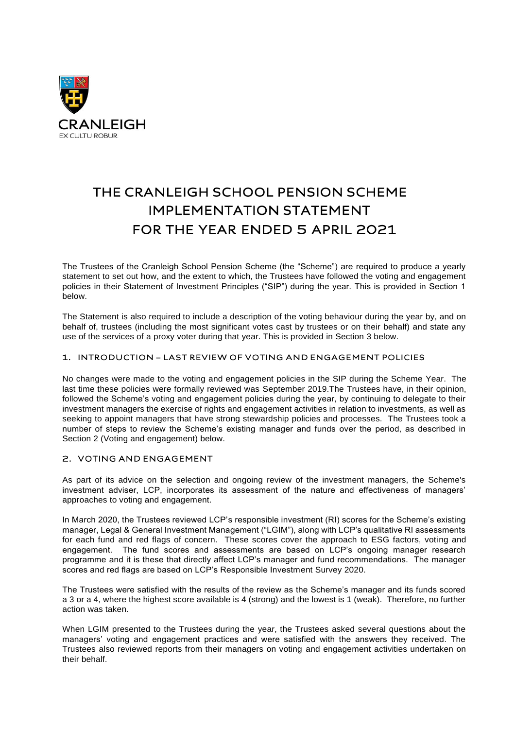

# THE CRANLEIGH SCHOOL PENSION SCHEME **IMPLEMENTATION STATEMENT** FOR THE YEAR ENDED 5 APRIL 2021

The Trustees of the Cranleigh School Pension Scheme (the "Scheme") are required to produce a yearly statement to set out how, and the extent to which, the Trustees have followed the voting and engagement policies in their Statement of Investment Principles ("SIP") during the year. This is provided in Section 1 below.

The Statement is also required to include a description of the voting behaviour during the year by, and on behalf of, trustees (including the most significant votes cast by trustees or on their behalf) and state any use of the services of a proxy voter during that year. This is provided in Section 3 below.

# 1. INTRODUCTION - LAST REVIEW OF VOTING AND ENGAGEMENT POLICIES

No changes were made to the voting and engagement policies in the SIP during the Scheme Year. The last time these policies were formally reviewed was September 2019.The Trustees have, in their opinion, followed the Scheme's voting and engagement policies during the year, by continuing to delegate to their investment managers the exercise of rights and engagement activities in relation to investments, as well as seeking to appoint managers that have strong stewardship policies and processes. The Trustees took a number of steps to review the Scheme's existing manager and funds over the period, as described in Section 2 (Voting and engagement) below.

## 2. VOTING AND ENGAGEMENT

As part of its advice on the selection and ongoing review of the investment managers, the Scheme's investment adviser, LCP, incorporates its assessment of the nature and effectiveness of managers' approaches to voting and engagement.

In March 2020, the Trustees reviewed LCP's responsible investment (RI) scores for the Scheme's existing manager, Legal & General Investment Management ("LGIM"), along with LCP's qualitative RI assessments for each fund and red flags of concern. These scores cover the approach to ESG factors, voting and engagement. The fund scores and assessments are based on LCP's ongoing manager research programme and it is these that directly affect LCP's manager and fund recommendations. The manager scores and red flags are based on LCP's Responsible Investment Survey 2020.

The Trustees were satisfied with the results of the review as the Scheme's manager and its funds scored a 3 or a 4, where the highest score available is 4 (strong) and the lowest is 1 (weak). Therefore, no further action was taken.

When LGIM presented to the Trustees during the year, the Trustees asked several questions about the managers' voting and engagement practices and were satisfied with the answers they received. The Trustees also reviewed reports from their managers on voting and engagement activities undertaken on their behalf.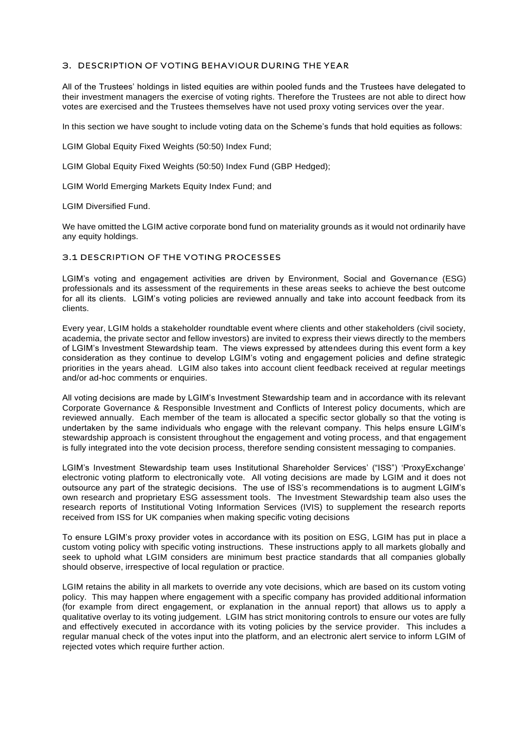# 3. DESCRIPTION OF VOTING BEHAVIOUR DURING THE YEAR

All of the Trustees' holdings in listed equities are within pooled funds and the Trustees have delegated to their investment managers the exercise of voting rights. Therefore the Trustees are not able to direct how votes are exercised and the Trustees themselves have not used proxy voting services over the year.

In this section we have sought to include voting data on the Scheme's funds that hold equities as follows:

LGIM Global Equity Fixed Weights (50:50) Index Fund;

LGIM Global Equity Fixed Weights (50:50) Index Fund (GBP Hedged);

LGIM World Emerging Markets Equity Index Fund; and

LGIM Diversified Fund.

We have omitted the LGIM active corporate bond fund on materiality grounds as it would not ordinarily have any equity holdings.

## 3.1 DESCRIPTION OF THE VOTING PROCESSES

LGIM's voting and engagement activities are driven by Environment, Social and Governance (ESG) professionals and its assessment of the requirements in these areas seeks to achieve the best outcome for all its clients. LGIM's voting policies are reviewed annually and take into account feedback from its clients.

Every year, LGIM holds a stakeholder roundtable event where clients and other stakeholders (civil society, academia, the private sector and fellow investors) are invited to express their views directly to the members of LGIM's Investment Stewardship team. The views expressed by attendees during this event form a key consideration as they continue to develop LGIM's voting and engagement policies and define strategic priorities in the years ahead. LGIM also takes into account client feedback received at regular meetings and/or ad-hoc comments or enquiries.

All voting decisions are made by LGIM's Investment Stewardship team and in accordance with its relevant Corporate Governance & Responsible Investment and Conflicts of Interest policy documents, which are reviewed annually. Each member of the team is allocated a specific sector globally so that the voting is undertaken by the same individuals who engage with the relevant company. This helps ensure LGIM's stewardship approach is consistent throughout the engagement and voting process, and that engagement is fully integrated into the vote decision process, therefore sending consistent messaging to companies.

LGIM's Investment Stewardship team uses Institutional Shareholder Services' ("ISS") 'ProxyExchange' electronic voting platform to electronically vote. All voting decisions are made by LGIM and it does not outsource any part of the strategic decisions. The use of ISS's recommendations is to augment LGIM's own research and proprietary ESG assessment tools. The Investment Stewardship team also uses the research reports of Institutional Voting Information Services (IVIS) to supplement the research reports received from ISS for UK companies when making specific voting decisions

To ensure LGIM's proxy provider votes in accordance with its position on ESG, LGIM has put in place a custom voting policy with specific voting instructions. These instructions apply to all markets globally and seek to uphold what LGIM considers are minimum best practice standards that all companies globally should observe, irrespective of local regulation or practice.

LGIM retains the ability in all markets to override any vote decisions, which are based on its custom voting policy. This may happen where engagement with a specific company has provided additional information (for example from direct engagement, or explanation in the annual report) that allows us to apply a qualitative overlay to its voting judgement. LGIM has strict monitoring controls to ensure our votes are fully and effectively executed in accordance with its voting policies by the service provider. This includes a regular manual check of the votes input into the platform, and an electronic alert service to inform LGIM of rejected votes which require further action.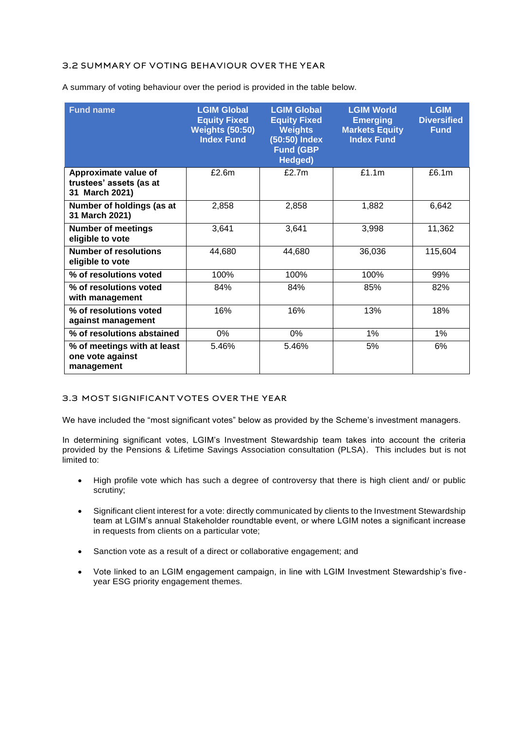# 3.2 SUMMARY OF VOTING BEHAVIOUR OVER THE YEAR

A summary of voting behaviour over the period is provided in the table below.

| <b>Fund name</b>                                                  | <b>LGIM Global</b><br><b>Equity Fixed</b><br><b>Weights (50:50)</b><br><b>Index Fund</b> | <b>LGIM Global</b><br><b>Equity Fixed</b><br><b>Weights</b><br>$(50:50)$ Index<br><b>Fund (GBP</b><br>Hedged) | <b>LGIM World</b><br><b>Emerging</b><br><b>Markets Equity</b><br><b>Index Fund</b> | <b>LGIM</b><br><b>Diversified</b><br><b>Fund</b> |
|-------------------------------------------------------------------|------------------------------------------------------------------------------------------|---------------------------------------------------------------------------------------------------------------|------------------------------------------------------------------------------------|--------------------------------------------------|
| Approximate value of<br>trustees' assets (as at<br>31 March 2021) | £2.6m                                                                                    | £2.7m                                                                                                         | £1.1m                                                                              | £6.1m                                            |
| Number of holdings (as at<br>31 March 2021)                       | 2,858                                                                                    | 2,858                                                                                                         | 1,882                                                                              | 6,642                                            |
| <b>Number of meetings</b><br>eligible to vote                     | 3,641                                                                                    | 3,641                                                                                                         | 3,998                                                                              | 11,362                                           |
| <b>Number of resolutions</b><br>eligible to vote                  | 44,680                                                                                   | 44,680                                                                                                        | 36,036                                                                             | 115,604                                          |
| % of resolutions voted                                            | 100%                                                                                     | 100%                                                                                                          | 100%                                                                               | 99%                                              |
| % of resolutions voted<br>with management                         | 84%                                                                                      | 84%                                                                                                           | 85%                                                                                | 82%                                              |
| % of resolutions voted<br>against management                      | 16%                                                                                      | 16%                                                                                                           | 13%                                                                                | 18%                                              |
| % of resolutions abstained                                        | 0%                                                                                       | 0%                                                                                                            | 1%                                                                                 | $1\%$                                            |
| % of meetings with at least<br>one vote against<br>management     | 5.46%                                                                                    | 5.46%                                                                                                         | 5%                                                                                 | 6%                                               |

## 3.3 MOST SIGNIFICANT VOTES OVER THE YEAR

We have included the "most significant votes" below as provided by the Scheme's investment managers.

In determining significant votes, LGIM's Investment Stewardship team takes into account the criteria provided by the Pensions & Lifetime Savings Association consultation (PLSA). This includes but is not limited to:

- High profile vote which has such a degree of controversy that there is high client and/ or public scrutiny;
- Significant client interest for a vote: directly communicated by clients to the Investment Stewardship team at LGIM's annual Stakeholder roundtable event, or where LGIM notes a significant increase in requests from clients on a particular vote;
- Sanction vote as a result of a direct or collaborative engagement; and
- Vote linked to an LGIM engagement campaign, in line with LGIM Investment Stewardship's fiveyear ESG priority engagement themes.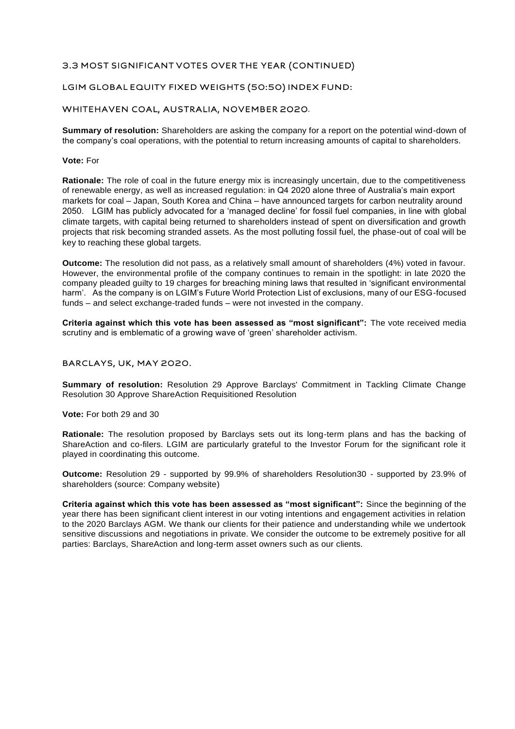# 3.3 MOST SIGNIFICANT VOTES OVER THE YEAR (CONTINUED)

# LGIM GLOBAL EQUITY FIXED WEIGHTS (50:50) INDEX FUND:

## WHITEHAVEN COAL, AUSTRALIA, NOVEMBER 2020.

**Summary of resolution:** Shareholders are asking the company for a report on the potential wind-down of the company's coal operations, with the potential to return increasing amounts of capital to shareholders.

#### **Vote:** For

**Rationale:** The role of coal in the future energy mix is increasingly uncertain, due to the competitiveness of renewable energy, as well as increased regulation: in Q4 2020 alone three of Australia's main export markets for coal – Japan, South Korea and China – have announced targets for carbon neutrality around 2050. LGIM has publicly advocated for a 'managed decline' for fossil fuel companies, in line with global climate targets, with capital being returned to shareholders instead of spent on diversification and growth projects that risk becoming stranded assets. As the most polluting fossil fuel, the phase-out of coal will be key to reaching these global targets.

**Outcome:** The resolution did not pass, as a relatively small amount of shareholders (4%) voted in favour. However, the environmental profile of the company continues to remain in the spotlight: in late 2020 the company pleaded guilty to 19 charges for breaching mining laws that resulted in 'significant environmental harm'. As the company is on LGIM's Future World Protection List of exclusions, many of our ESG-focused funds – and select exchange-traded funds – were not invested in the company.

**Criteria against which this vote has been assessed as "most significant":** The vote received media scrutiny and is emblematic of a growing wave of 'green' shareholder activism.

#### BARCLAYS, UK, MAY 2020.

**Summary of resolution:** Resolution 29 Approve Barclays' Commitment in Tackling Climate Change Resolution 30 Approve ShareAction Requisitioned Resolution

## **Vote:** For both 29 and 30

**Rationale:** The resolution proposed by Barclays sets out its long-term plans and has the backing of ShareAction and co-filers. LGIM are particularly grateful to the Investor Forum for the significant role it played in coordinating this outcome.

**Outcome:** Resolution 29 - supported by 99.9% of shareholders Resolution30 - supported by 23.9% of shareholders (source: Company website)

**Criteria against which this vote has been assessed as "most significant":** Since the beginning of the year there has been significant client interest in our voting intentions and engagement activities in relation to the 2020 Barclays AGM. We thank our clients for their patience and understanding while we undertook sensitive discussions and negotiations in private. We consider the outcome to be extremely positive for all parties: Barclays, ShareAction and long-term asset owners such as our clients.